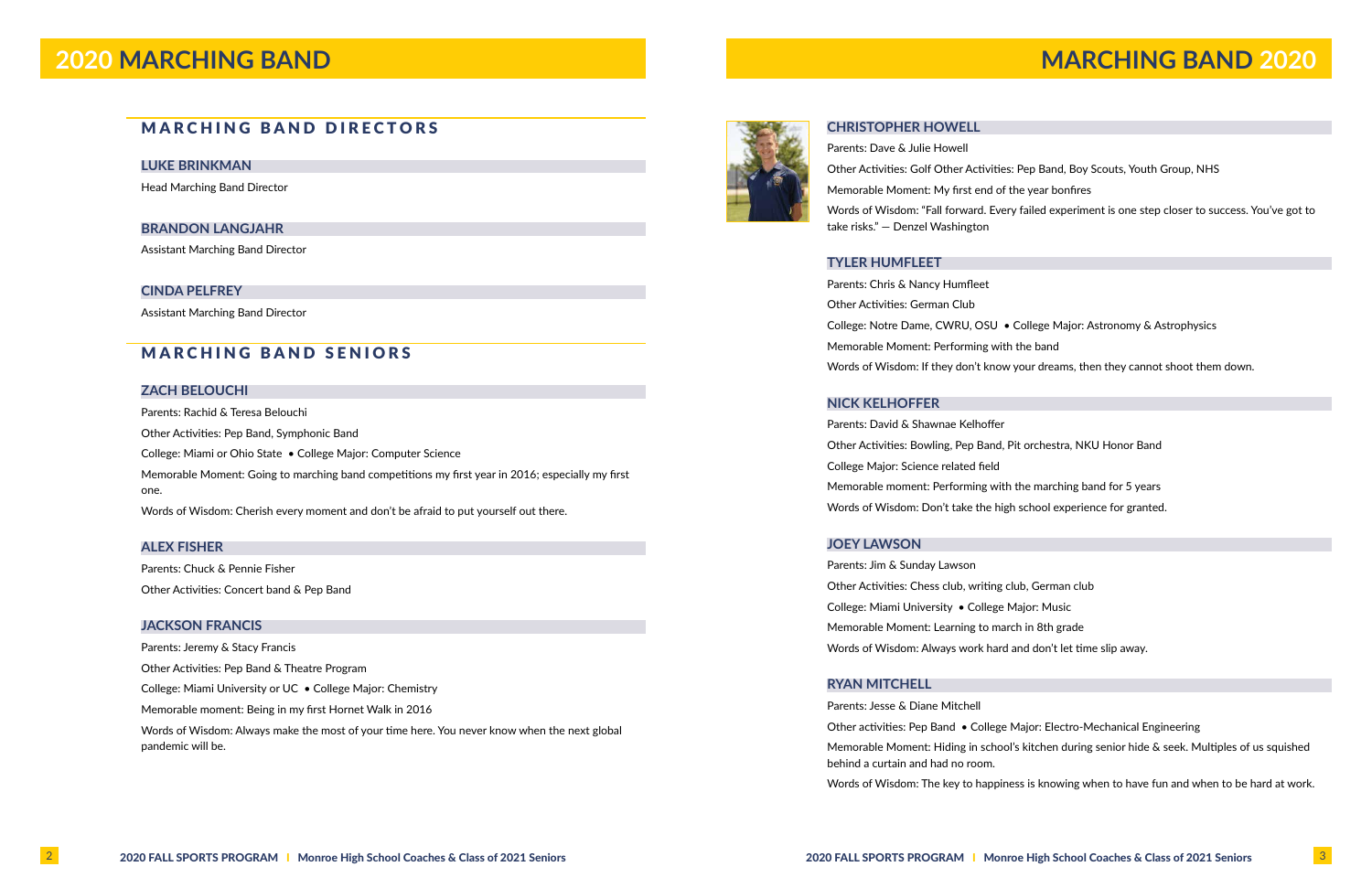## MARCHING BAND DIRECTORS

### **LUKE BRINKMAN**

Head Marching Band Director

### **BRANDON LANGJAHR**

Assistant Marching Band Director

### **CINDA PELFREY**

Assistant Marching Band Director

## MARCHING BAND SENIORS

### **ZACH BELOUCHI**

Parents: Rachid & Teresa Belouchi

Other Activities: Pep Band, Symphonic Band

College: Miami or Ohio State • College Major: Computer Science

Memorable Moment: Going to marching band competitions my first year in 2016; especially my first one.

Words of Wisdom: Cherish every moment and don't be afraid to put yourself out there.

### **ALEX FISHER**

Parents: Chuck & Pennie Fisher Other Activities: Concert band & Pep Band

### **JACKSON FRANCIS**

Parents: Jeremy & Stacy Francis

Other Activities: Pep Band & Theatre Program

College: Miami University or UC • College Major: Chemistry

Memorable moment: Being in my first Hornet Walk in 2016

Words of Wisdom: Always make the most of your time here. You never know when the next global pandemic will be.



### **CHRISTOPHER HOWELL**

- Other Activities: Golf Other Activities: Pep Band, Boy Scouts, Youth Group, NHS
- Words of Wisdom: "Fall forward. Every failed experiment is one step closer to success. You've got to

Parents: Dave & Julie Howell Memorable Moment: My first end of the year bonfires take risks." — Denzel Washington

### **TYLER HUMFLEET**

Parents: Chris & Nancy Humfleet Other Activities: German Club Memorable Moment: Performing with the band

### **NICK KELHOFFER**

Parents: David & Shawnae Kelhoffer Other Activities: Bowling, Pep Band, Pit orchestra, NKU Honor Band College Major: Science related field Memorable moment: Performing with the marching band for 5 years Words of Wisdom: Don't take the high school experience for granted.

### **JOEY LAWSON**

- College: Notre Dame, CWRU, OSU College Major: Astronomy & Astrophysics Words of Wisdom: If they don't know your dreams, then they cannot shoot them down.
	-
	-
	-
	-
	-
	-
- Other activities: Pep Band College Major: Electro-Mechanical Engineering Memorable Moment: Hiding in school's kitchen during senior hide & seek. Multiples of us squished
- Words of Wisdom: The key to happiness is knowing when to have fun and when to be hard at work.

Parents: Jim & Sunday Lawson Other Activities: Chess club, writing club, German club College: Miami University • College Major: Music Memorable Moment: Learning to march in 8th grade Words of Wisdom: Always work hard and don't let time slip away.

### **RYAN MITCHELL**

Parents: Jesse & Diane Mitchell behind a curtain and had no room.

# **2020 MARCHING BAND MARCHING BAND 2020**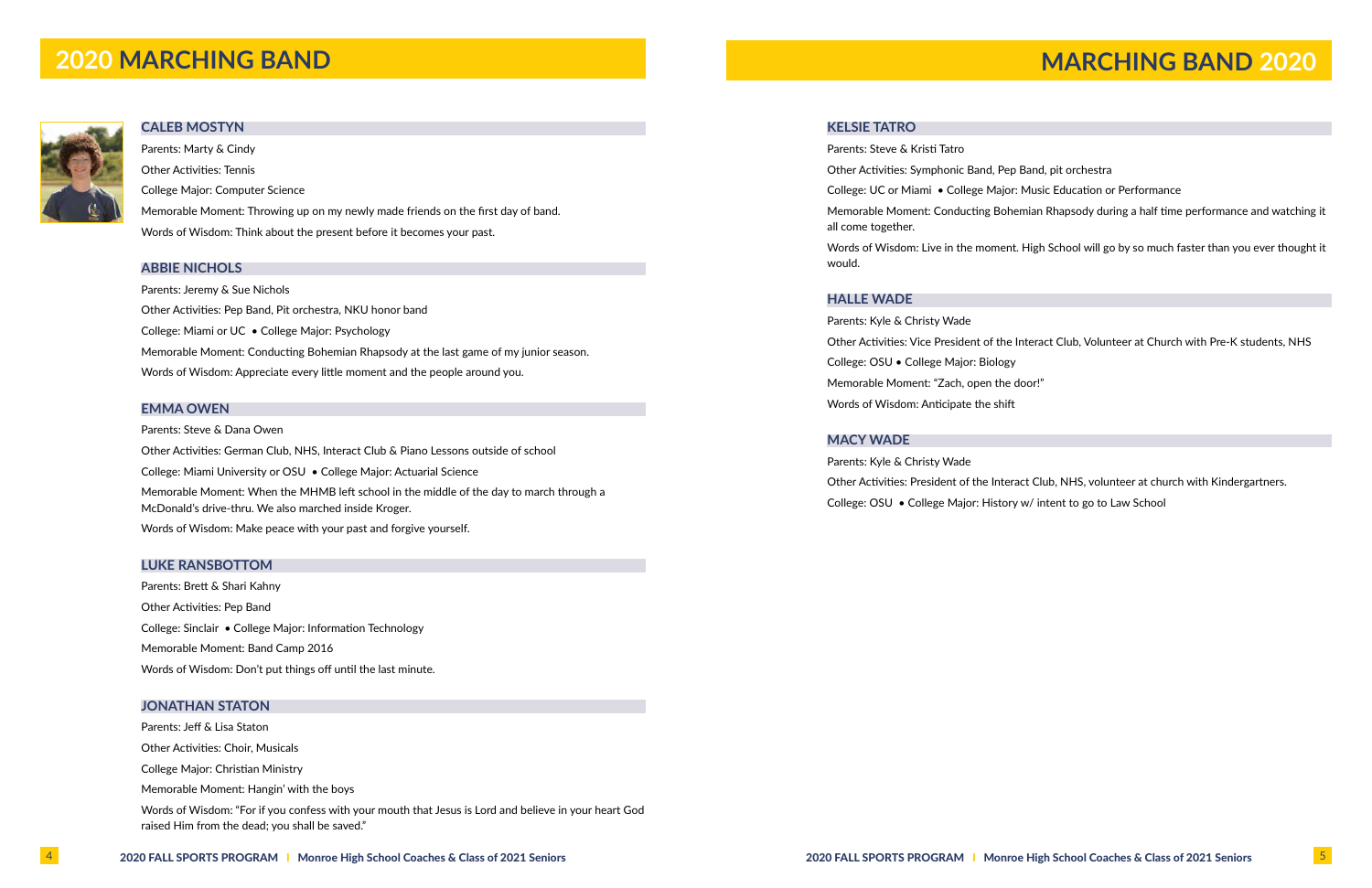

### **CALEB MOSTYN**

Parents: Marty & Cindy Other Activities: Tennis College Major: Computer Science Memorable Moment: Throwing up on my newly made friends on the first day of band. Words of Wisdom: Think about the present before it becomes your past.

### **ABBIE NICHOLS**

Parents: Jeremy & Sue Nichols Other Activities: Pep Band, Pit orchestra, NKU honor band College: Miami or UC • College Major: Psychology Memorable Moment: Conducting Bohemian Rhapsody at the last game of my junior season. Words of Wisdom: Appreciate every little moment and the people around you.

### **EMMA OWEN**

Parents: Steve & Dana Owen Other Activities: German Club, NHS, Interact Club & Piano Lessons outside of school College: Miami University or OSU • College Major: Actuarial Science Memorable Moment: When the MHMB left school in the middle of the day to march through a McDonald's drive-thru. We also marched inside Kroger. Words of Wisdom: Make peace with your past and forgive yourself.

### **LUKE RANSBOTTOM**

Parents: Brett & Shari Kahny Other Activities: Pep Band College: Sinclair • College Major: Information Technology Memorable Moment: Band Camp 2016 Words of Wisdom: Don't put things off until the last minute.

### **JONATHAN STATON**

Parents: Jeff & Lisa Staton

Other Activities: Choir, Musicals

College Major: Christian Ministry

Memorable Moment: Hangin' with the boys

Words of Wisdom: "For if you confess with your mouth that Jesus is Lord and believe in your heart God raised Him from the dead; you shall be saved."

### **KELSIE TATRO**

Parents: Steve & Kristi Tatro Other Activities: Symphonic Band, Pep Band, pit orchestra College: UC or Miami • College Major: Music Education or Performance all come together.

- 
- 
- Memorable Moment: Conducting Bohemian Rhapsody during a half time performance and watching it

Words of Wisdom: Live in the moment. High School will go by so much faster than you ever thought it

would.

### **HALLE WADE**

Parents: Kyle & Christy Wade Other Activities: Vice President of the Interact Club, Volunteer at Church with Pre-K students, NHS College: OSU • College Major: Biology Memorable Moment: "Zach, open the door!" Words of Wisdom: Anticipate the shift

### **MACY WADE**

Other Activities: President of the Interact Club, NHS, volunteer at church with Kindergartners.

Parents: Kyle & Christy Wade College: OSU • College Major: History w/ intent to go to Law School

# **2020 MARCHING BAND MARCHING BAND MARCHING BAND** 2020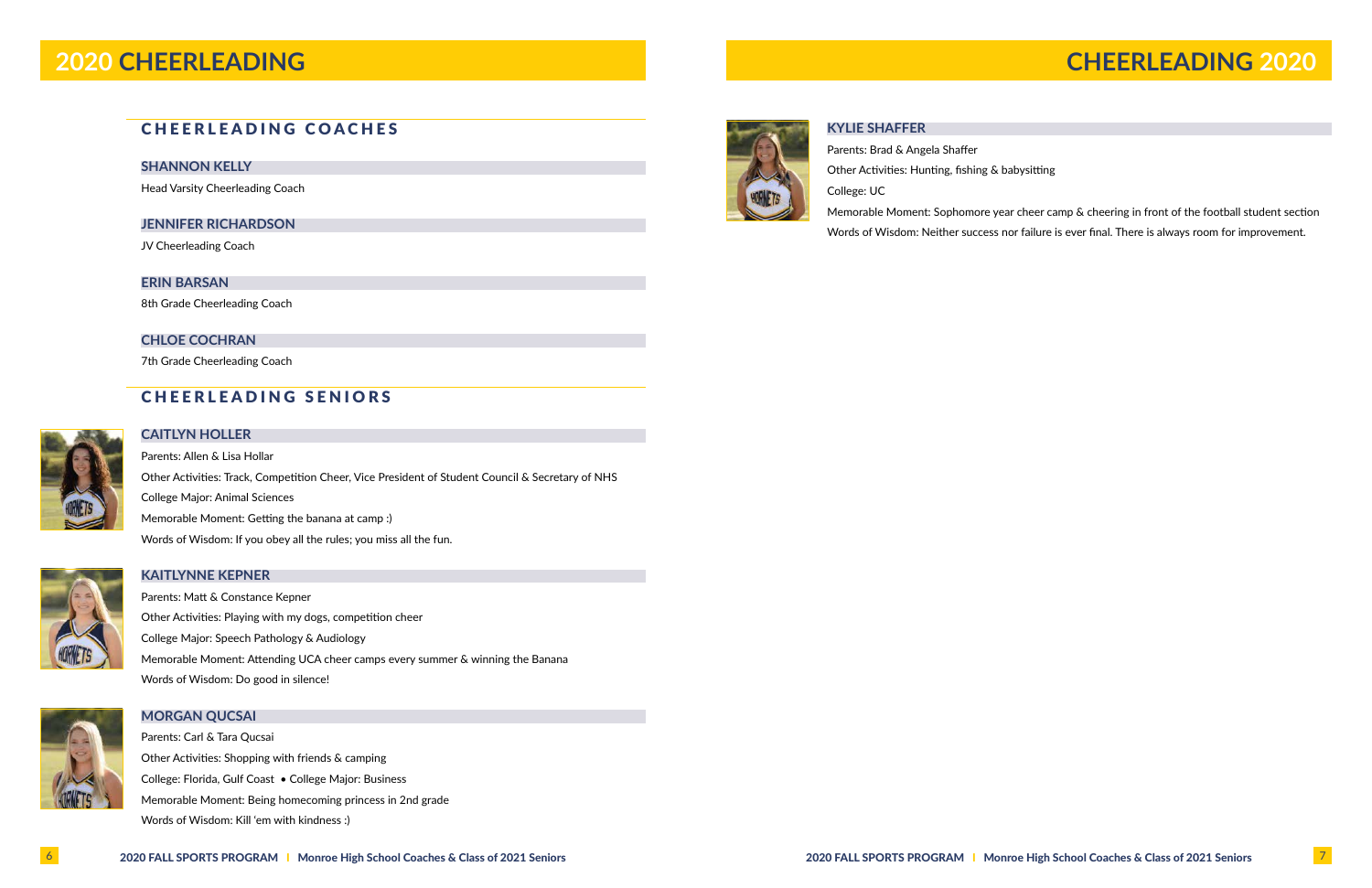# CHEERLEADING COACHES

### **SHANNON KELLY**

Head Varsity Cheerleading Coach

### **JENNIFER RICHARDSON**

JV Cheerleading Coach

### **ERIN BARSAN**

8th Grade Cheerleading Coach

### **CHLOE COCHRAN**

7th Grade Cheerleading Coach

# CHEERLEADING SENIORS



## **CAITLYN HOLLER**

Parents: Allen & Lisa Hollar Other Activities: Track, Competition Cheer, Vice President of Student Council & Secretary of NHS College Major: Animal Sciences Memorable Moment: Getting the banana at camp :) Words of Wisdom: If you obey all the rules; you miss all the fun.



## **KAITLYNNE KEPNER**

Parents: Matt & Constance Kepner Other Activities: Playing with my dogs, competition cheer College Major: Speech Pathology & Audiology Memorable Moment: Attending UCA cheer camps every summer & winning the Banana Words of Wisdom: Do good in silence!



### **MORGAN QUCSAI**

Parents: Carl & Tara Qucsai Other Activities: Shopping with friends & camping College: Florida, Gulf Coast • College Major: Business Memorable Moment: Being homecoming princess in 2nd grade Words of Wisdom: Kill 'em with kindness :)



**KYLIE SHAFFER**

Parents: Brad & Angela Shaffer Other Activities: Hunting, fishing & babysitting College: UC

Memorable Moment: Sophomore year cheer camp & cheering in front of the football student section Words of Wisdom: Neither success nor failure is ever final. There is always room for improvement.

# **2020 CHEERLEADING CHEERLEADING 2020**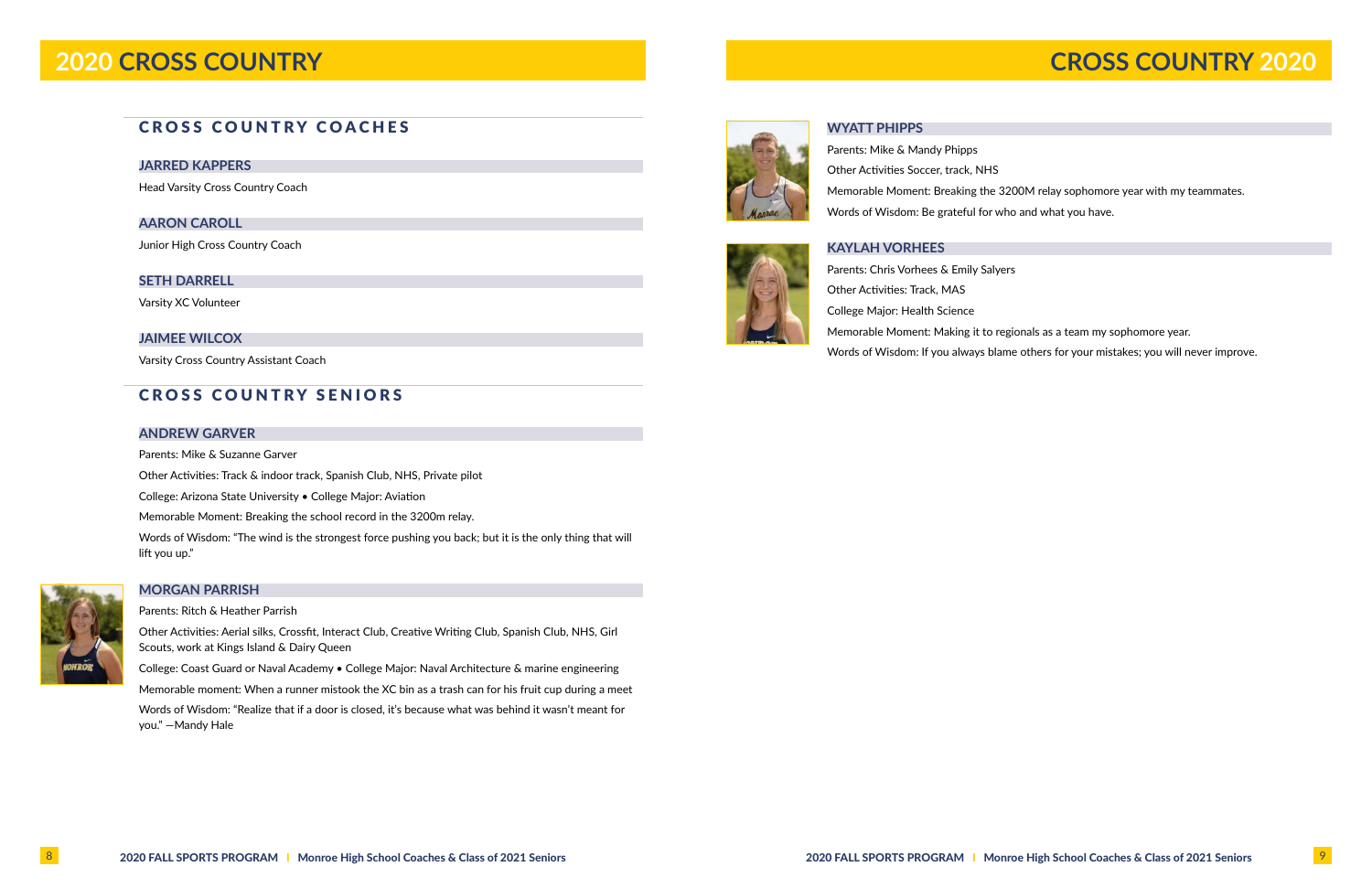### **JARRED KAPPERS**

Head Varsity Cross Country Coach

### **AARON CAROLL**

Junior High Cross Country Coach

### **SETH DARRELL**

Varsity XC Volunteer

### **JAIMEE WILCOX**

Varsity Cross Country Assistant Coach

# CROSS COUNTRY SENIORS

### **ANDREW GARVER**

Parents: Mike & Suzanne Garver

Other Activities: Track & indoor track, Spanish Club, NHS, Private pilot

College: Arizona State University • College Major: Aviation

Memorable Moment: Breaking the school record in the 3200m relay.

Words of Wisdom: "The wind is the strongest force pushing you back; but it is the only thing that will lift you up."



### **MORGAN PARRISH**

Parents: Ritch & Heather Parrish

Other Activities: Aerial silks, Crossfit, Interact Club, Creative Writing Club, Spanish Club, NHS, Girl Scouts, work at Kings Island & Dairy Queen

College: Coast Guard or Naval Academy • College Major: Naval Architecture & marine engineering

Memorable moment: When a runner mistook the XC bin as a trash can for his fruit cup during a meet

Words of Wisdom: "Realize that if a door is closed, it's because what was behind it wasn't meant for you." —Mandy Hale



**WYATT PHIPPS**

Parents: Mike & Mandy Phipps Other Activities Soccer, track, NHS Memorable Moment: Breaking the 3200M relay sophomore year with my teammates. Words of Wisdom: Be grateful for who and what you have.

### **KAYLAH VORHEES**

Parents: Chris Vorhees & Emily Salyers Other Activities: Track, MAS College Major: Health Science Memorable Moment: Making it to regionals as a team my sophomore year. Words of Wisdom: If you always blame others for your mistakes; you will never improve.

# **2020 CROSS COUNTRY CROSS COUNTRY 2020**

# **CROSS COUNTRY COACHES**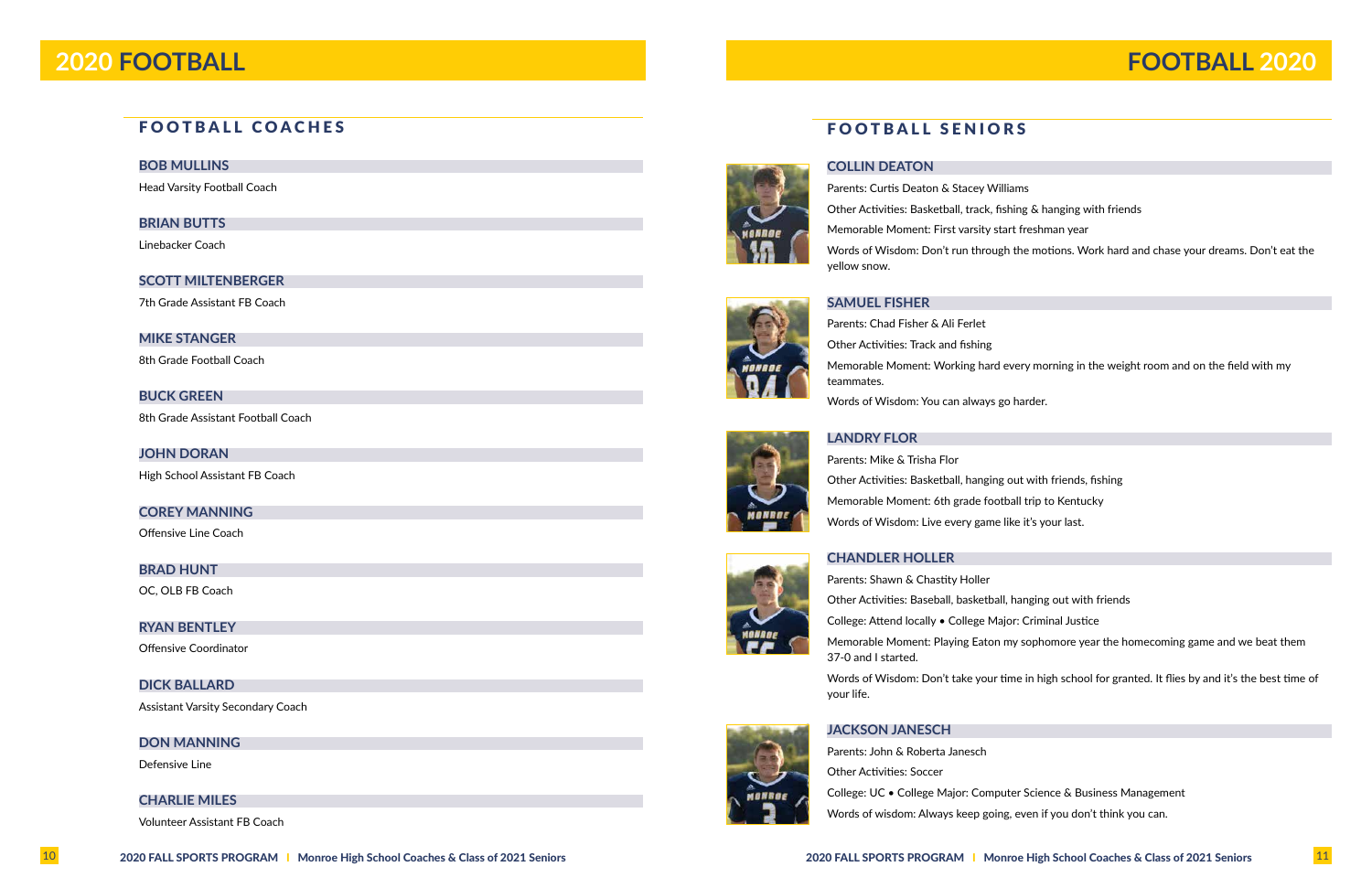### **BOB MULLINS**

Head Varsity Football Coach

### **BRIAN BUTTS**

Linebacker Coach

### **SCOTT MILTENBERGER**

7th Grade Assistant FB Coach

### **MIKE STANGER**

8th Grade Football Coach

### **BUCK GREEN**

8th Grade Assistant Football Coach

### **JOHN DORAN**

High School Assistant FB Coach

### **COREY MANNING**

Offensive Line Coach

### **BRAD HUNT**

OC, OLB FB Coach

### **RYAN BENTLEY**

Offensive Coordinator

### **DICK BALLARD**

Assistant Varsity Secondary Coach

### **DON MANNING**

Defensive Line

### **CHARLIE MILES**

Volunteer Assistant FB Coach



### **COLLIN DEATON**

Parents: Curtis Deaton & Stacey Williams Other Activities: Basketball, track, fishing & hanging with friends Memorable Moment: First varsity start freshman year yellow snow.

- 
- 
- 
- Words of Wisdom: Don't run through the motions. Work hard and chase your dreams. Don't eat the

### **SAMUEL FISHER**



Memorable Moment: Working hard every morning in the weight room and on the field with my

## **LANDRY FLOR**

Parents: Mike & Trisha Flor Other Activities: Basketball, hanging out with friends, fishing Memorable Moment: 6th grade football trip to Kentucky Words of Wisdom: Live every game like it's your last.

### **CHANDLER HOLLER**



- 
- 
- 
- 
- Memorable Moment: Playing Eaton my sophomore year the homecoming game and we beat them
- Words of Wisdom: Don't take your time in high school for granted. It flies by and it's the best time of

- 
- 

your life.

### **JACKSON JANESCH**

Parents: John & Roberta Janesch Other Activities: Soccer College: UC • College Major: Computer Science & Business Management Words of wisdom: Always keep going, even if you don't think you can.





# **2020 FOOTBALL FOOTBALL 2020**

# FOOTBALL COACHES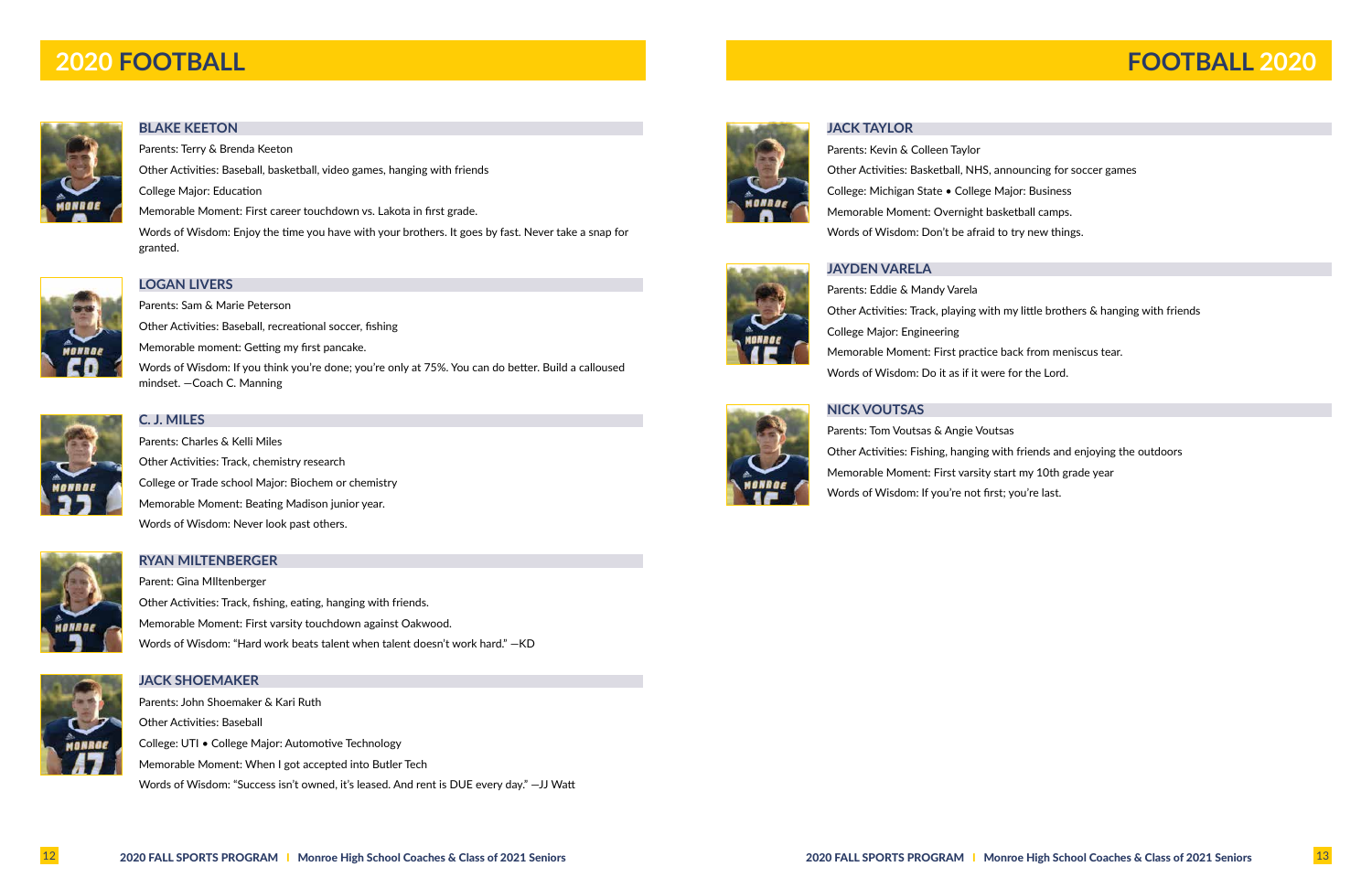### **BLAKE KEETON**

Parents: Terry & Brenda Keeton

Other Activities: Baseball, basketball, video games, hanging with friends

College Major: Education

Memorable Moment: First career touchdown vs. Lakota in first grade.

Words of Wisdom: Enjoy the time you have with your brothers. It goes by fast. Never take a snap for granted.



## **LOGAN LIVERS**

Parents: Sam & Marie Peterson Other Activities: Baseball, recreational soccer, fishing Memorable moment: Getting my first pancake. Words of Wisdom: If you think you're done; you're only at 75%. You can do better. Build a calloused mindset. —Coach C. Manning



## **C. J. MILES**

Parents: Charles & Kelli Miles Other Activities: Track, chemistry research College or Trade school Major: Biochem or chemistry Memorable Moment: Beating Madison junior year. Words of Wisdom: Never look past others.



### **RYAN MILTENBERGER**

Parent: Gina MIltenberger Other Activities: Track, fishing, eating, hanging with friends. Memorable Moment: First varsity touchdown against Oakwood. Words of Wisdom: "Hard work beats talent when talent doesn't work hard." —KD



### **JACK SHOEMAKER**

Parents: John Shoemaker & Kari Ruth Other Activities: Baseball College: UTI • College Major: Automotive Technology Memorable Moment: When I got accepted into Butler Tech Words of Wisdom: "Success isn't owned, it's leased. And rent is DUE every day." —JJ Watt



### **JACK TAYLOR**

Parents: Kevin & Colleen Taylor Other Activities: Basketball, NHS, announcing for soccer games College: Michigan State • College Major: Business Memorable Moment: Overnight basketball camps. Words of Wisdom: Don't be afraid to try new things.

### **JAYDEN VARELA**

Parents: Eddie & Mandy Varela Other Activities: Track, playing with my little brothers & hanging with friends College Major: Engineering Memorable Moment: First practice back from meniscus tear. Words of Wisdom: Do it as if it were for the Lord.

### **NICK VOUTSAS**

Parents: Tom Voutsas & Angie Voutsas Other Activities: Fishing, hanging with friends and enjoying the outdoors Memorable Moment: First varsity start my 10th grade year Words of Wisdom: If you're not first; you're last.



- 
- 
- 
- 

- 
- 
- 

# **2020 FOOTBALL FOOTBALL 2020**

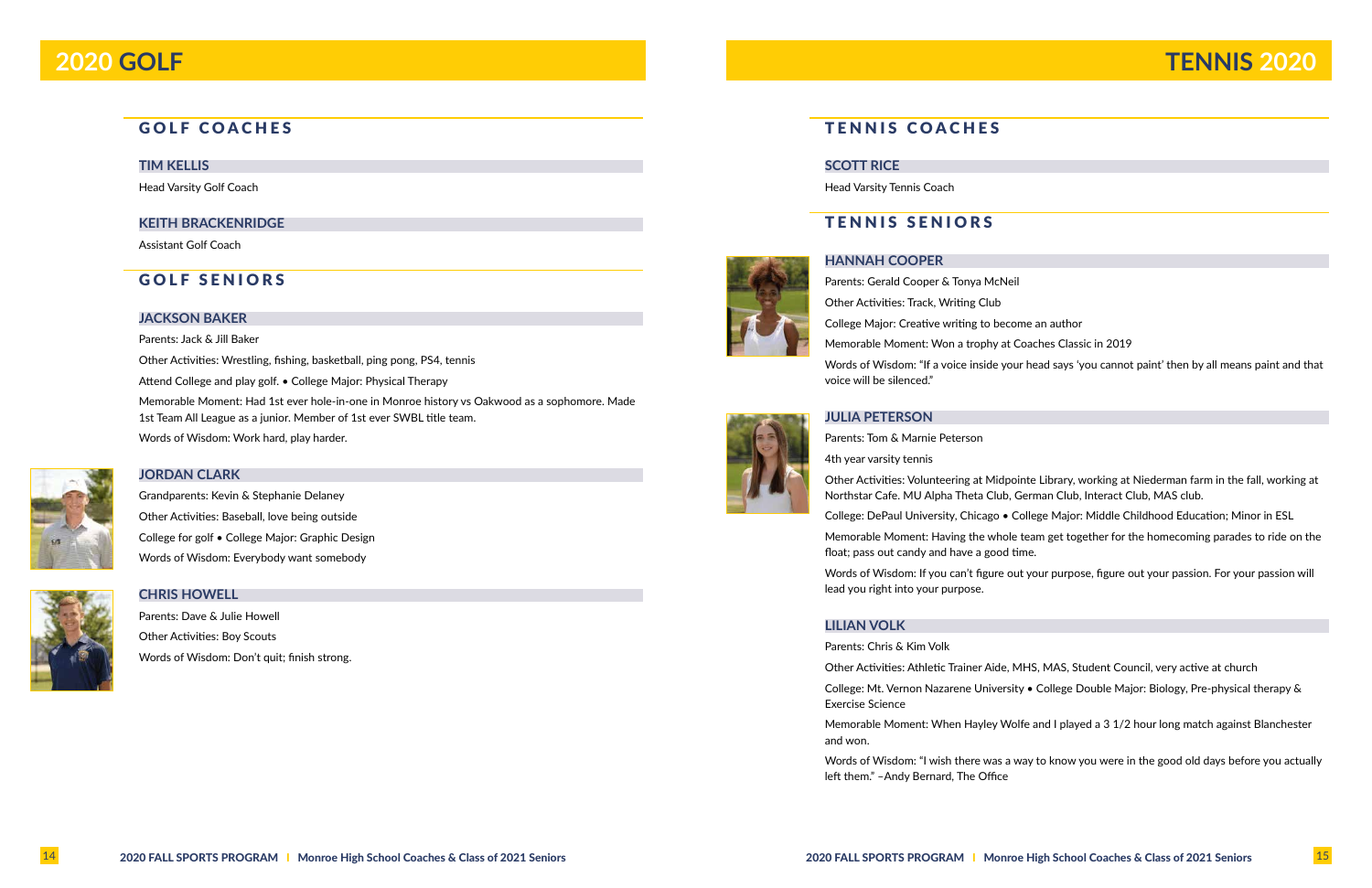# GOLF COACHES

### **TIM KELLIS**

Head Varsity Golf Coach

### **KEITH BRACKENRIDGE**

Assistant Golf Coach

## GOLF SENIORS

### **JACKSON BAKER**

Parents: Jack & Jill Baker

Other Activities: Wrestling, fishing, basketball, ping pong, PS4, tennis

Attend College and play golf. • College Major: Physical Therapy

Memorable Moment: Had 1st ever hole-in-one in Monroe history vs Oakwood as a sophomore. Made 1st Team All League as a junior. Member of 1st ever SWBL title team.

Words of Wisdom: Work hard, play harder.



### **JORDAN CLARK**

Grandparents: Kevin & Stephanie Delaney Other Activities: Baseball, love being outside College for golf • College Major: Graphic Design Words of Wisdom: Everybody want somebody



### **CHRIS HOWELL**

Parents: Dave & Julie Howell Other Activities: Boy Scouts Words of Wisdom: Don't quit; finish strong.



# **2020 GOLF**

TENNIS COACHES

**SCOTT RICE**

Head Varsity Tennis Coach

TENNIS SENIORS

**HANNAH COOPER** Parents: Gerald Cooper & Tonya McNeil Other Activities: Track, Writing Club College Major: Creative writing to become an author

Memorable Moment: Won a trophy at Coaches Classic in 2019

Words of Wisdom: "If a voice inside your head says 'you cannot paint' then by all means paint and that

voice will be silenced."

### **JULIA PETERSON**

Parents: Tom & Marnie Peterson

4th year varsity tennis

Other Activities: Volunteering at Midpointe Library, working at Niederman farm in the fall, working at Northstar Cafe. MU Alpha Theta Club, German Club, Interact Club, MAS club.

College: DePaul University, Chicago • College Major: Middle Childhood Education; Minor in ESL

Memorable Moment: Having the whole team get together for the homecoming parades to ride on the float; pass out candy and have a good time.

Words of Wisdom: If you can't figure out your purpose, figure out your passion. For your passion will

lead you right into your purpose.

### **LILIAN VOLK**

Parents: Chris & Kim Volk

Other Activities: Athletic Trainer Aide, MHS, MAS, Student Council, very active at church

College: Mt. Vernon Nazarene University • College Double Major: Biology, Pre-physical therapy &

Exercise Science

Memorable Moment: When Hayley Wolfe and I played a 3 1/2 hour long match against Blanchester

and won.

Words of Wisdom: "I wish there was a way to know you were in the good old days before you actually

left them." –Andy Bernard, The Office

# **TENNIS 2020**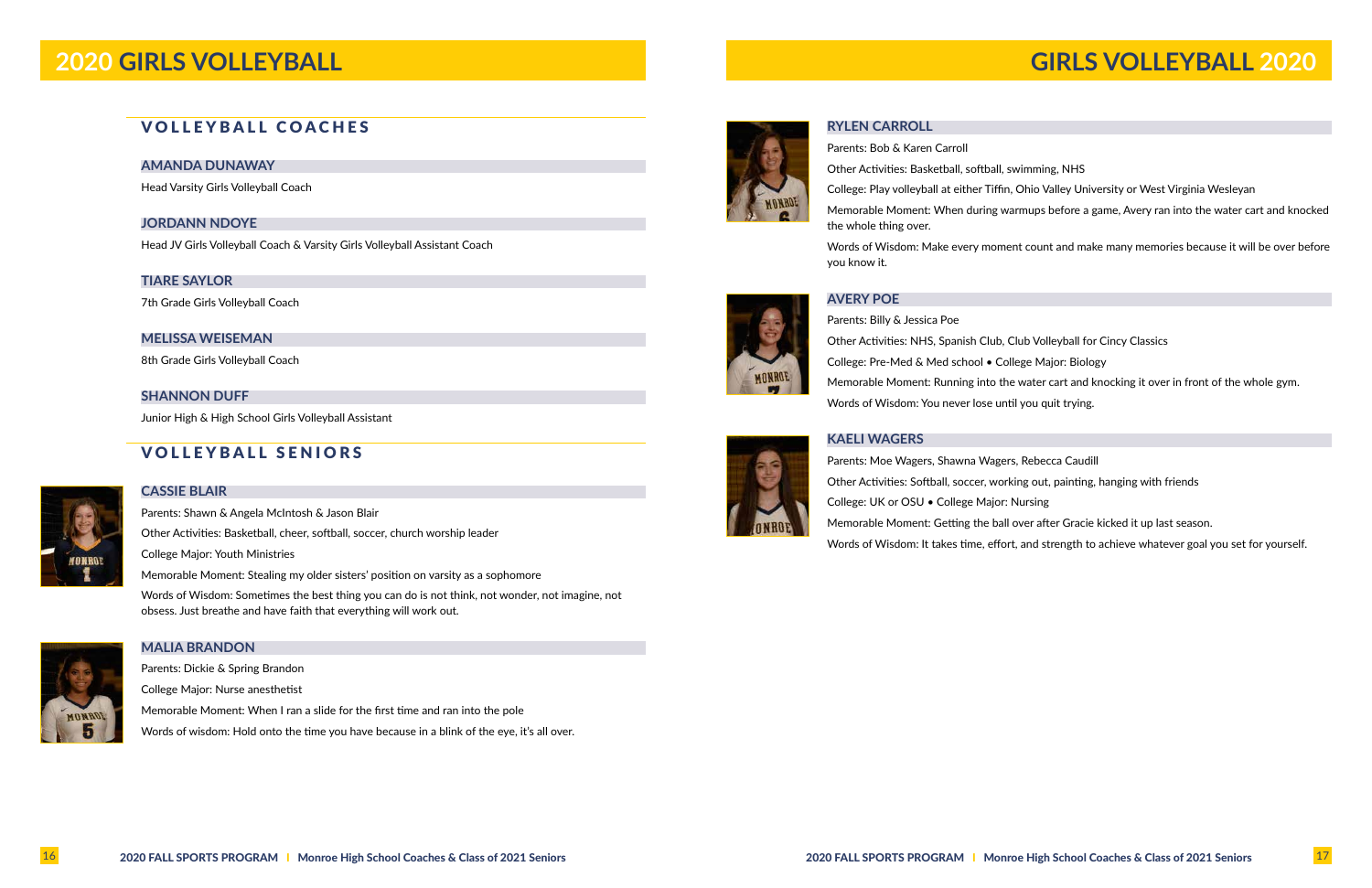# VOLLEYBALL COACHES

### **AMANDA DUNAWAY**

Head Varsity Girls Volleyball Coach

### **JORDANN NDOYE**

Head JV Girls Volleyball Coach & Varsity Girls Volleyball Assistant Coach

### **TIARE SAYLOR**

7th Grade Girls Volleyball Coach

### **MELISSA WEISEMAN**

8th Grade Girls Volleyball Coach

### **SHANNON DUFF**

Junior High & High School Girls Volleyball Assistant

# VOLLEYBALL SENIORS



# **CASSIE BLAIR**

Parents: Shawn & Angela McIntosh & Jason Blair Other Activities: Basketball, cheer, softball, soccer, church worship leader College Major: Youth Ministries Memorable Moment: Stealing my older sisters' position on varsity as a sophomore Words of Wisdom: Sometimes the best thing you can do is not think, not wonder, not imagine, not obsess. Just breathe and have faith that everything will work out.



### **MALIA BRANDON**

Parents: Dickie & Spring Brandon College Major: Nurse anesthetist Memorable Moment: When I ran a slide for the first time and ran into the pole Words of wisdom: Hold onto the time you have because in a blink of the eye, it's all over.



MONROE

### **RYLEN CARROLL**

Parents: Bob & Karen Carroll Other Activities: Basketball, softball, swimming, NHS College: Play volleyball at either Tiffin, Ohio Valley University or West Virginia Wesleyan

- 
- Memorable Moment: When during warmups before a game, Avery ran into the water cart and knocked

the whole thing over.

Words of Wisdom: Make every moment count and make many memories because it will be over before

you know it.

### **AVERY POE**



# **KAELI WAGERS**

- 
- 
- Memorable Moment: Running into the water cart and knocking it over in front of the whole gym.
	-
	-
	-
	-
- Words of Wisdom: It takes time, effort, and strength to achieve whatever goal you set for yourself.

Parents: Moe Wagers, Shawna Wagers, Rebecca Caudill Other Activities: Softball, soccer, working out, painting, hanging with friends College: UK or OSU • College Major: Nursing Memorable Moment: Getting the ball over after Gracie kicked it up last season.



### 16 2020 FALL SPORTS PROGRAM | Monroe High School Coaches & Class of 2021 Seniors 2020 FALL SPORTS PROGRAM | Monroe High School Coaches & Class of 2021 Seniors 2020 FALL SPORTS PROGRAM | Monroe High School Coaches & Class o

# **2020 GIRLS VOLLEYBALL GIRLS VOLLEYBALL 2020**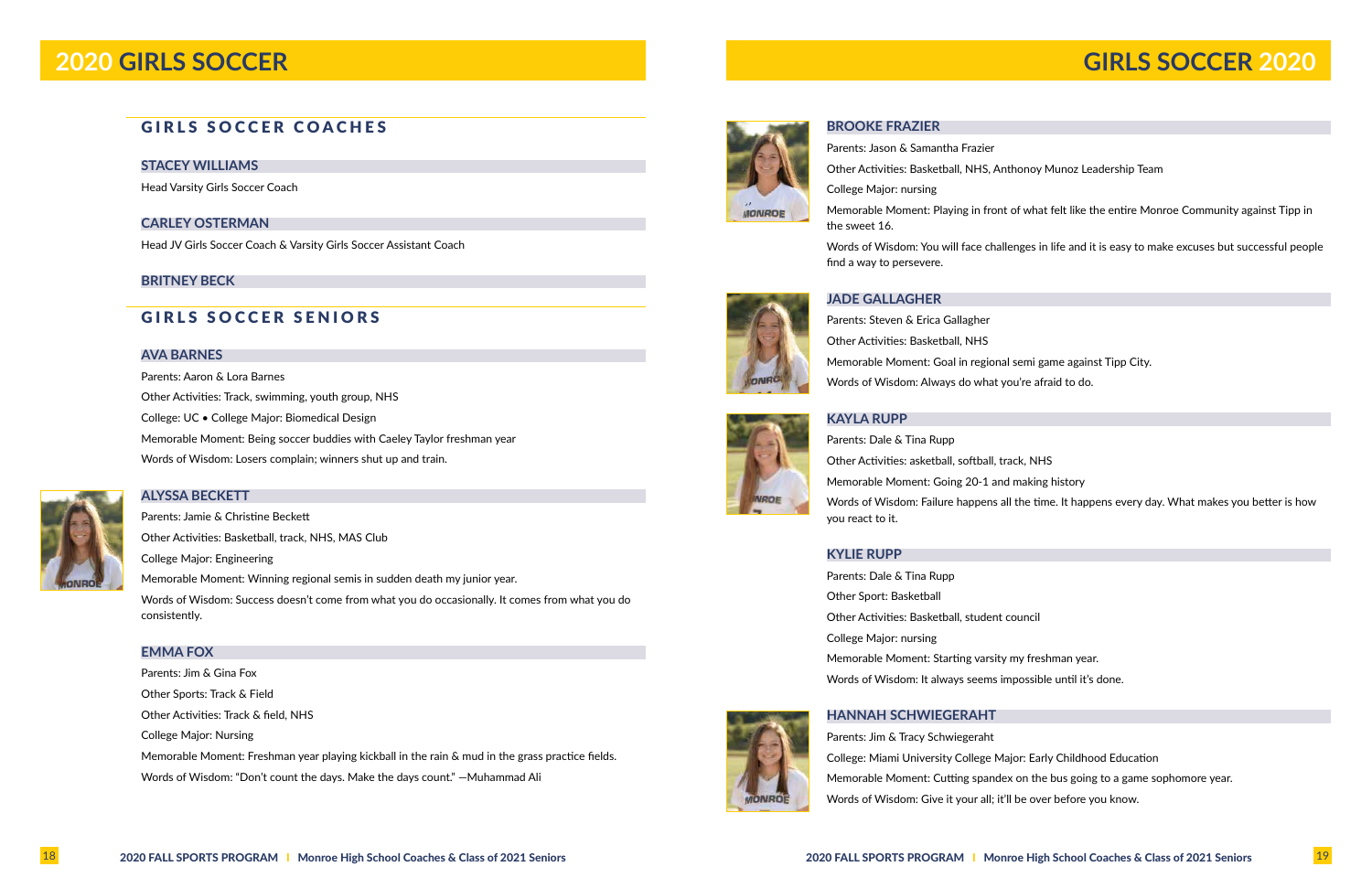# GIRLS SOCCER COACHES

### **STACEY WILLIAMS**

Head Varsity Girls Soccer Coach

### **CARLEY OSTERMAN**

Head JV Girls Soccer Coach & Varsity Girls Soccer Assistant Coach

### **BRITNEY BECK**

## GIRLS SOCCER SENIORS

### **AVA BARNES**

Parents: Aaron & Lora Barnes Other Activities: Track, swimming, youth group, NHS College: UC • College Major: Biomedical Design Memorable Moment: Being soccer buddies with Caeley Taylor freshman year Words of Wisdom: Losers complain; winners shut up and train.



**ALYSSA BECKETT**

Parents: Jamie & Christine Beckett Other Activities: Basketball, track, NHS, MAS Club College Major: Engineering Memorable Moment: Winning regional semis in sudden death my junior year. Words of Wisdom: Success doesn't come from what you do occasionally. It comes from what you do consistently.

### **EMMA FOX**

Parents: Jim & Gina Fox Other Sports: Track & Field Other Activities: Track & field, NHS College Major: Nursing Memorable Moment: Freshman year playing kickball in the rain & mud in the grass practice fields. Words of Wisdom: "Don't count the days. Make the days count." —Muhammad Ali



# **2020 GIRLS SOCCER**

**BROOKE FRAZIER**

Parents: Jason & Samantha Frazier Other Activities: Basketball, NHS, Anthonoy Munoz Leadership Team College Major: nursing Memorable Moment: Playing in front of what felt like the entire Monroe Community against Tipp in the sweet 16.

Words of Wisdom: You will face challenges in life and it is easy to make excuses but successful people

find a way to persevere.

### **JADE GALLAGHER**





**KAYLA RUPP** Parents: Dale & Tina Rupp Other Activities: asketball, softball, track, NHS Memorable Moment: Going 20-1 and making history Words of Wisdom: Failure happens all the time. It happens every day. What makes you better is how you react to it.

### **KYLIE RUPP**

Parents: Dale & Tina Rupp Other Sport: Basketball Other Activities: Basketball, student council College Major: nursing Memorable Moment: Starting varsity my freshman year. Words of Wisdom: It always seems impossible until it's done.



### **HANNAH SCHWIEGERAHT**

Parents: Jim & Tracy Schwiegeraht College: Miami University College Major: Early Childhood Education Memorable Moment: Cutting spandex on the bus going to a game sophomore year. Words of Wisdom: Give it your all; it'll be over before you know.

# **GIRLS SOCCER 2020**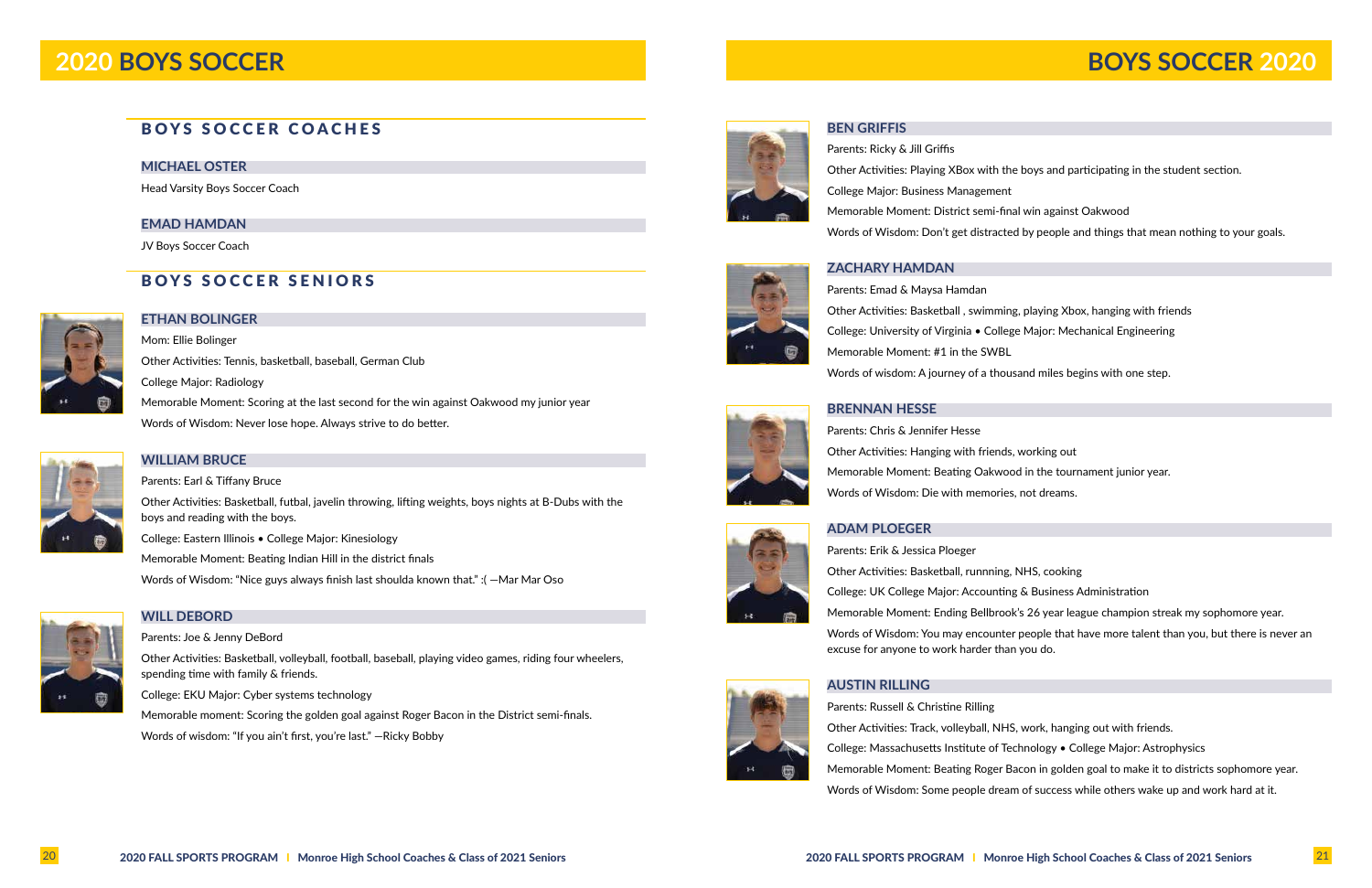# BOYS SOCCER COACHES

### **MICHAEL OSTER**

Head Varsity Boys Soccer Coach

### **EMAD HAMDAN**

JV Boys Soccer Coach

# BOYS SOCCER SENIORS



### **ETHAN BOLINGER**

Mom: Ellie Bolinger Other Activities: Tennis, basketball, baseball, German Club College Major: Radiology Memorable Moment: Scoring at the last second for the win against Oakwood my junior year Words of Wisdom: Never lose hope. Always strive to do better.



## **WILLIAM BRUCE**

Parents: Earl & Tiffany Bruce

Other Activities: Basketball, futbal, javelin throwing, lifting weights, boys nights at B-Dubs with the boys and reading with the boys.

College: Eastern Illinois • College Major: Kinesiology

Memorable Moment: Beating Indian Hill in the district finals

Words of Wisdom: "Nice guys always finish last shoulda known that." :( —Mar Mar Oso



## **WILL DEBORD**

Parents: Joe & Jenny DeBord

Other Activities: Basketball, volleyball, football, baseball, playing video games, riding four wheelers, spending time with family & friends.

College: EKU Major: Cyber systems technology

Memorable moment: Scoring the golden goal against Roger Bacon in the District semi-finals. Words of wisdom: "If you ain't first, you're last." —Ricky Bobby



### **BEN GRIFFIS**

Parents: Ricky & Jill Griffis College Major: Business Management Memorable Moment: District semi-final win against Oakwood

- Other Activities: Playing XBox with the boys and participating in the student section.
	-
	-
- Words of Wisdom: Don't get distracted by people and things that mean nothing to your goals.

### **ZACHARY HAMDAN**

Parents: Emad & Maysa Hamdan Other Activities: Basketball , swimming, playing Xbox, hanging with friends College: University of Virginia • College Major: Mechanical Engineering Memorable Moment: #1 in the SWBL Words of wisdom: A journey of a thousand miles begins with one step.

### **BRENNAN HESSE**

Parents: Chris & Jennifer Hesse Other Activities: Hanging with friends, working out Memorable Moment: Beating Oakwood in the tournament junior year. Words of Wisdom: Die with memories, not dreams.



### **ADAM PLOEGER**

Parents: Erik & Jessica Ploeger Other Activities: Basketball, runnning, NHS, cooking College: UK College Major: Accounting & Business Administration excuse for anyone to work harder than you do.

### **AUSTIN RILLING**

Parents: Russell & Christine Rilling Other Activities: Track, volleyball, NHS, work, hanging out with friends.

- 
- Memorable Moment: Ending Bellbrook's 26 year league champion streak my sophomore year.
- Words of Wisdom: You may encounter people that have more talent than you, but there is never an
	-
- College: Massachusetts Institute of Technology College Major: Astrophysics
- Memorable Moment: Beating Roger Bacon in golden goal to make it to districts sophomore year.
- Words of Wisdom: Some people dream of success while others wake up and work hard at it.

# **2020 BOYS SOCCER BOYS SOCCER 2020**